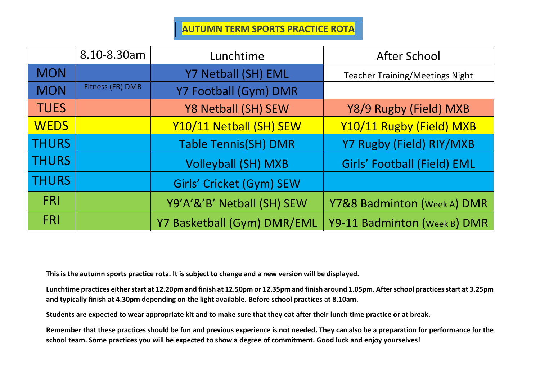**AUTUMN TERM SPORTS PRACTICE ROTA** 

|              | 8.10-8.30am      | Lunchtime                   | <b>After School</b>                    |
|--------------|------------------|-----------------------------|----------------------------------------|
| <b>MON</b>   |                  | Y7 Netball (SH) EML         | <b>Teacher Training/Meetings Night</b> |
| <b>MON</b>   | Fitness (FR) DMR | Y7 Football (Gym) DMR       |                                        |
| <b>TUES</b>  |                  | Y8 Netball (SH) SEW         | Y8/9 Rugby (Field) MXB                 |
| <b>WEDS</b>  |                  | Y10/11 Netball (SH) SEW     | Y10/11 Rugby (Field) MXB               |
| <b>THURS</b> |                  | <b>Table Tennis(SH) DMR</b> | Y7 Rugby (Field) RIY/MXB               |
| <b>THURS</b> |                  | <b>Volleyball (SH) MXB</b>  | <b>Girls' Football (Field) EML</b>     |
| <b>THURS</b> |                  | Girls' Cricket (Gym) SEW    |                                        |
| <b>FRI</b>   |                  | Y9'A'&'B' Netball (SH) SEW  | Y7&8 Badminton (Week A) DMR            |
| FRI          |                  | Y7 Basketball (Gym) DMR/EML | Y9-11 Badminton (Week B) DMR           |

**This is the autumn sports practice rota. It is subject to change and a new version will be displayed.** 

**Lunchtime practices either start at 12.20pm and finish at 12.50pm or 12.35pm and finish around 1.05pm. After school practices start at 3.25pm and typically finish at 4.30pm depending on the light available. Before school practices at 8.10am.** 

**Students are expected to wear appropriate kit and to make sure that they eat after their lunch time practice or at break.** 

**Remember that these practices should be fun and previous experience is not needed. They can also be a preparation for performance for the school team. Some practices you will be expected to show a degree of commitment. Good luck and enjoy yourselves!**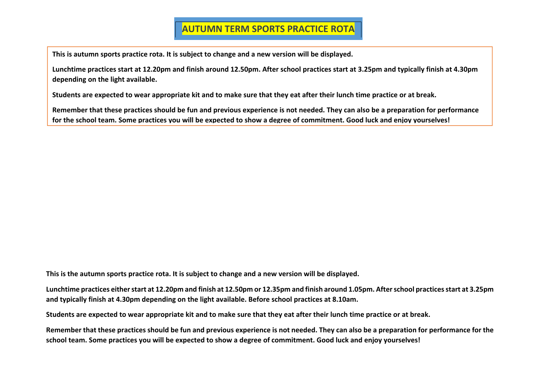## **AUTUMN TERM SPORTS PRACTICE ROTA**

**This is autumn sports practice rota. It is subject to change and a new version will be displayed.** 

**Lunchtime practices start at 12.20pm and finish around 12.50pm. After school practices start at 3.25pm and typically finish at 4.30pm depending on the light available.** 

**Students are expected to wear appropriate kit and to make sure that they eat after their lunch time practice or at break.** 

**Remember that these practices should be fun and previous experience is not needed. They can also be a preparation for performance**  for the school team. Some practices you will be expected to show a degree of commitment. Good luck and enjoy yourselves!

**This is the autumn sports practice rota. It is subject to change and a new version will be displayed.** 

**Lunchtime practices either start at 12.20pm and finish at 12.50pm or 12.35pm and finish around 1.05pm. After school practices start at 3.25pm and typically finish at 4.30pm depending on the light available. Before school practices at 8.10am.** 

**Students are expected to wear appropriate kit and to make sure that they eat after their lunch time practice or at break.** 

**Remember that these practices should be fun and previous experience is not needed. They can also be a preparation for performance for the school team. Some practices you will be expected to show a degree of commitment. Good luck and enjoy yourselves!**